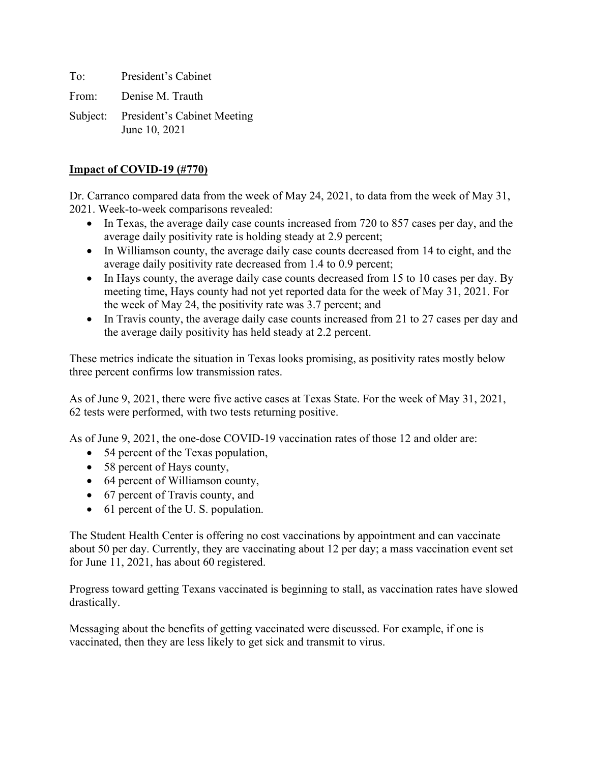To: President's Cabinet

From: Denise M. Trauth

Subject: President's Cabinet Meeting June 10, 2021

#### **Impact of COVID-19 (#770)**

Dr. Carranco compared data from the week of May 24, 2021, to data from the week of May 31, 2021. Week-to-week comparisons revealed:

- In Texas, the average daily case counts increased from 720 to 857 cases per day, and the average daily positivity rate is holding steady at 2.9 percent;
- In Williamson county, the average daily case counts decreased from 14 to eight, and the average daily positivity rate decreased from 1.4 to 0.9 percent;
- In Hays county, the average daily case counts decreased from 15 to 10 cases per day. By meeting time, Hays county had not yet reported data for the week of May 31, 2021. For the week of May 24, the positivity rate was 3.7 percent; and
- In Travis county, the average daily case counts increased from 21 to 27 cases per day and the average daily positivity has held steady at 2.2 percent.

These metrics indicate the situation in Texas looks promising, as positivity rates mostly below three percent confirms low transmission rates.

As of June 9, 2021, there were five active cases at Texas State. For the week of May 31, 2021, 62 tests were performed, with two tests returning positive.

As of June 9, 2021, the one-dose COVID-19 vaccination rates of those 12 and older are:

- 54 percent of the Texas population,
- 58 percent of Hays county,
- 64 percent of Williamson county,
- 67 percent of Travis county, and
- 61 percent of the U.S. population.

The Student Health Center is offering no cost vaccinations by appointment and can vaccinate about 50 per day. Currently, they are vaccinating about 12 per day; a mass vaccination event set for June 11, 2021, has about 60 registered.

Progress toward getting Texans vaccinated is beginning to stall, as vaccination rates have slowed drastically.

Messaging about the benefits of getting vaccinated were discussed. For example, if one is vaccinated, then they are less likely to get sick and transmit to virus.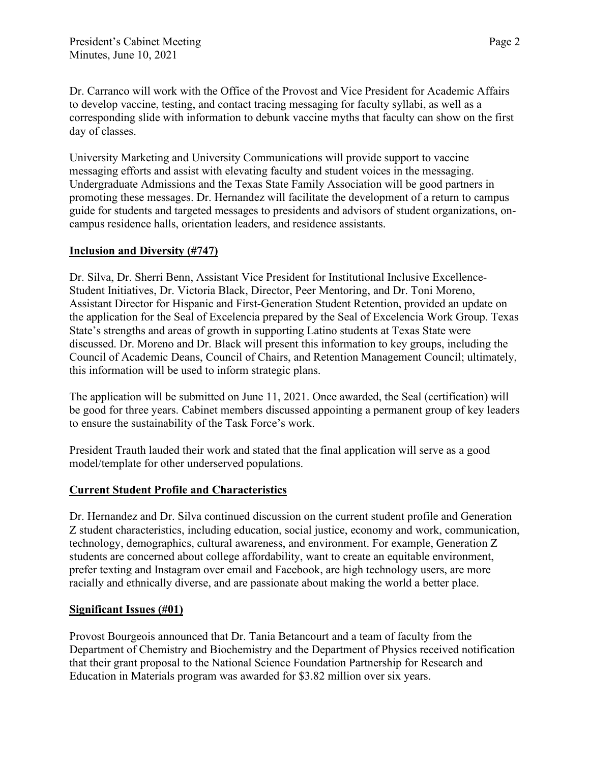Dr. Carranco will work with the Office of the Provost and Vice President for Academic Affairs to develop vaccine, testing, and contact tracing messaging for faculty syllabi, as well as a corresponding slide with information to debunk vaccine myths that faculty can show on the first day of classes.

University Marketing and University Communications will provide support to vaccine messaging efforts and assist with elevating faculty and student voices in the messaging. Undergraduate Admissions and the Texas State Family Association will be good partners in promoting these messages. Dr. Hernandez will facilitate the development of a return to campus guide for students and targeted messages to presidents and advisors of student organizations, oncampus residence halls, orientation leaders, and residence assistants.

## **Inclusion and Diversity (#747)**

Dr. Silva, Dr. Sherri Benn, Assistant Vice President for Institutional Inclusive Excellence-Student Initiatives, Dr. Victoria Black, Director, Peer Mentoring, and Dr. Toni Moreno, Assistant Director for Hispanic and First-Generation Student Retention, provided an update on the application for the Seal of Excelencia prepared by the Seal of Excelencia Work Group. Texas State's strengths and areas of growth in supporting Latino students at Texas State were discussed. Dr. Moreno and Dr. Black will present this information to key groups, including the Council of Academic Deans, Council of Chairs, and Retention Management Council; ultimately, this information will be used to inform strategic plans.

The application will be submitted on June 11, 2021. Once awarded, the Seal (certification) will be good for three years. Cabinet members discussed appointing a permanent group of key leaders to ensure the sustainability of the Task Force's work.

President Trauth lauded their work and stated that the final application will serve as a good model/template for other underserved populations.

# **Current Student Profile and Characteristics**

Dr. Hernandez and Dr. Silva continued discussion on the current student profile and Generation Z student characteristics, including education, social justice, economy and work, communication, technology, demographics, cultural awareness, and environment. For example, Generation Z students are concerned about college affordability, want to create an equitable environment, prefer texting and Instagram over email and Facebook, are high technology users, are more racially and ethnically diverse, and are passionate about making the world a better place.

### **Significant Issues (#01)**

Provost Bourgeois announced that Dr. Tania Betancourt and a team of faculty from the Department of Chemistry and Biochemistry and the Department of Physics received notification that their grant proposal to the National Science Foundation Partnership for Research and Education in Materials program was awarded for \$3.82 million over six years.